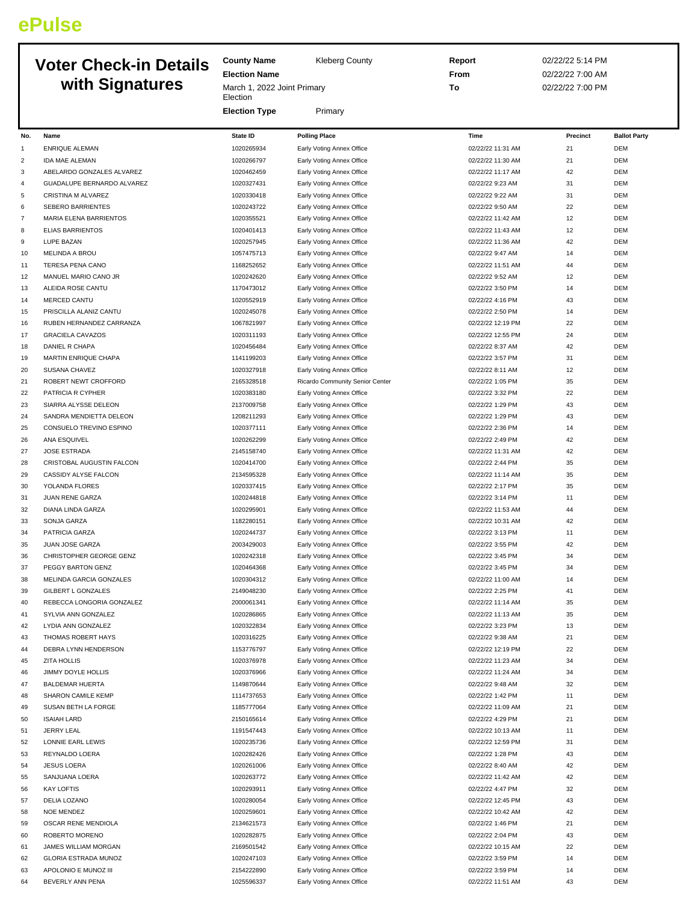## **ePulse**

## **Voter Check-in Details with Signatures**

| <b>Kleberg County</b> |
|-----------------------|
|-----------------------|

**Election Name** March 1, 2022 Joint Primary **Election** 

**Election Type** Primary

**County Name** 

**Report** 02/22/22 5:14 PM **From** 02/22/22 7:00 AM **To** 02/22/22 7:00 PM

| No.            | Name                       | State ID   | <b>Polling Place</b>            | Time              | Precinct | <b>Ballot Party</b> |
|----------------|----------------------------|------------|---------------------------------|-------------------|----------|---------------------|
| 1              | ENRIQUE ALEMAN             | 1020265934 | Early Voting Annex Office       | 02/22/22 11:31 AM | 21       | DEM                 |
| $\overline{2}$ | <b>IDA MAE ALEMAN</b>      | 1020266797 | Early Voting Annex Office       | 02/22/22 11:30 AM | 21       | DEM                 |
| 3              | ABELARDO GONZALES ALVAREZ  | 1020462459 | Early Voting Annex Office       | 02/22/22 11:17 AM | 42       | DEM                 |
| $\overline{4}$ | GUADALUPE BERNARDO ALVAREZ | 1020327431 | Early Voting Annex Office       | 02/22/22 9:23 AM  | 31       | DEM                 |
| 5              | CRISTINA M ALVAREZ         | 1020330418 | Early Voting Annex Office       | 02/22/22 9:22 AM  | 31       | DEM                 |
| 6              | SEBERO BARRIENTES          | 1020243722 | Early Voting Annex Office       | 02/22/22 9:50 AM  | 22       | DEM                 |
| $\overline{7}$ | MARIA ELENA BARRIENTOS     | 1020355521 | Early Voting Annex Office       | 02/22/22 11:42 AM | 12       | DEM                 |
| 8              | <b>ELIAS BARRIENTOS</b>    | 1020401413 | Early Voting Annex Office       | 02/22/22 11:43 AM | 12       | DEM                 |
| 9              | LUPE BAZAN                 | 1020257945 | Early Voting Annex Office       | 02/22/22 11:36 AM | 42       | DEM                 |
| 10             | MELINDA A BROU             | 1057475713 | Early Voting Annex Office       | 02/22/22 9:47 AM  | 14       | DEM                 |
| 11             | TERESA PENA CANO           | 1168252652 | Early Voting Annex Office       | 02/22/22 11:51 AM | 44       | DEM                 |
| 12             | MANUEL MARIO CANO JR       | 1020242620 | Early Voting Annex Office       | 02/22/22 9:52 AM  | 12       | DEM                 |
| 13             | ALEIDA ROSE CANTU          | 1170473012 | Early Voting Annex Office       | 02/22/22 3:50 PM  | 14       | DEM                 |
| 14             | MERCED CANTU               | 1020552919 | Early Voting Annex Office       | 02/22/22 4:16 PM  | 43       | DEM                 |
| 15             | PRISCILLA ALANIZ CANTU     | 1020245078 | Early Voting Annex Office       | 02/22/22 2:50 PM  | 14       | DEM                 |
| 16             | RUBEN HERNANDEZ CARRANZA   | 1067821997 | Early Voting Annex Office       | 02/22/22 12:19 PM | 22       | DEM                 |
| 17             | <b>GRACIELA CAVAZOS</b>    | 1020311193 | Early Voting Annex Office       | 02/22/22 12:55 PM | 24       | DEM                 |
| 18             | DANIEL R CHAPA             | 1020456484 | Early Voting Annex Office       | 02/22/22 8:37 AM  | 42       | DEM                 |
| 19             | MARTIN ENRIQUE CHAPA       | 1141199203 | Early Voting Annex Office       | 02/22/22 3:57 PM  | 31       | DEM                 |
| 20             | SUSANA CHAVEZ              | 1020327918 | Early Voting Annex Office       | 02/22/22 8:11 AM  | 12       | DEM                 |
| 21             | ROBERT NEWT CROFFORD       | 2165328518 | Ricardo Community Senior Center | 02/22/22 1:05 PM  | 35       | DEM                 |
| 22             | PATRICIA R CYPHER          | 1020383180 | Early Voting Annex Office       | 02/22/22 3:32 PM  | 22       | DEM                 |
| 23             | SIARRA ALYSSE DELEON       | 2137009758 | Early Voting Annex Office       | 02/22/22 1:29 PM  | 43       | DEM                 |
| 24             | SANDRA MENDIETTA DELEON    | 1208211293 | Early Voting Annex Office       | 02/22/22 1:29 PM  | 43       | DEM                 |
| 25             | CONSUELO TREVINO ESPINO    | 1020377111 | Early Voting Annex Office       | 02/22/22 2:36 PM  | 14       | <b>DEM</b>          |
| 26             | ANA ESQUIVEL               | 1020262299 | Early Voting Annex Office       | 02/22/22 2:49 PM  | 42       | <b>DEM</b>          |
| 27             | JOSE ESTRADA               | 2145158740 | Early Voting Annex Office       | 02/22/22 11:31 AM | 42       | DEM                 |
| 28             | CRISTOBAL AUGUSTIN FALCON  | 1020414700 | Early Voting Annex Office       | 02/22/22 2:44 PM  | 35       | DEM                 |
| 29             | CASSIDY ALYSE FALCON       | 2134595328 | Early Voting Annex Office       | 02/22/22 11:14 AM | 35       | DEM                 |
| 30             | YOLANDA FLORES             | 1020337415 | Early Voting Annex Office       | 02/22/22 2:17 PM  | 35       | DEM                 |
| 31             | JUAN RENE GARZA            | 1020244818 | Early Voting Annex Office       | 02/22/22 3:14 PM  | 11       | DEM                 |
| 32             | DIANA LINDA GARZA          | 1020295901 | Early Voting Annex Office       | 02/22/22 11:53 AM | 44       | DEM                 |
| 33             | SONJA GARZA                | 1182280151 | Early Voting Annex Office       | 02/22/22 10:31 AM | 42       | DEM                 |
| 34             | PATRICIA GARZA             | 1020244737 | Early Voting Annex Office       | 02/22/22 3:13 PM  | 11       | DEM                 |
| 35             | JUAN JOSE GARZA            | 2003429003 | Early Voting Annex Office       | 02/22/22 3:55 PM  | 42       | DEM                 |
| 36             | CHRISTOPHER GEORGE GENZ    | 1020242318 | Early Voting Annex Office       | 02/22/22 3:45 PM  | 34       | DEM                 |
| 37             | PEGGY BARTON GENZ          | 1020464368 | Early Voting Annex Office       | 02/22/22 3:45 PM  | 34       | DEM                 |
| 38             | MELINDA GARCIA GONZALES    | 1020304312 | Early Voting Annex Office       | 02/22/22 11:00 AM | 14       | DEM                 |
| 39             | GILBERT L GONZALES         | 2149048230 | Early Voting Annex Office       | 02/22/22 2:25 PM  | 41       | DEM                 |
| 40             | REBECCA LONGORIA GONZALEZ  | 2000061341 | Early Voting Annex Office       | 02/22/22 11:14 AM | 35       | DEM                 |
| 41             | SYLVIA ANN GONZALEZ        | 1020286865 | Early Voting Annex Office       | 02/22/22 11:13 AM | 35       | DEM                 |
| 42             | LYDIA ANN GONZALEZ         | 1020322834 | Early Voting Annex Office       | 02/22/22 3:23 PM  | 13       | DEM                 |
| 43             | THOMAS ROBERT HAYS         | 1020316225 | Early Voting Annex Office       | 02/22/22 9:38 AM  | 21       | DEM                 |
| 44             | DEBRA LYNN HENDERSON       | 1153776797 | Early Voting Annex Office       | 02/22/22 12:19 PM | 22       | DEM                 |
| 45             | <b>ZITA HOLLIS</b>         | 1020376978 | Early Voting Annex Office       | 02/22/22 11:23 AM | 34       | DEM                 |
| 46             | JIMMY DOYLE HOLLIS         | 1020376966 | Early Voting Annex Office       | 02/22/22 11:24 AM | 34       | DEM                 |
| 47             | <b>BALDEMAR HUERTA</b>     | 1149870644 | Early Voting Annex Office       | 02/22/22 9:48 AM  | 32       | DEM                 |
| 48             | SHARON CAMILE KEMP         | 1114737653 | Early Voting Annex Office       | 02/22/22 1:42 PM  | 11       | DEM                 |
| 49             | SUSAN BETH LA FORGE        | 1185777064 | Early Voting Annex Office       | 02/22/22 11:09 AM | 21       | DEM                 |
| 50             | <b>ISAIAH LARD</b>         | 2150165614 | Early Voting Annex Office       | 02/22/22 4:29 PM  | 21       | DEM                 |
| 51             | JERRY LEAL                 | 1191547443 | Early Voting Annex Office       | 02/22/22 10:13 AM | $11\,$   | DEM                 |
| 52             | LONNIE EARL LEWIS          | 1020235736 | Early Voting Annex Office       | 02/22/22 12:59 PM | 31       | DEM                 |
| 53             | REYNALDO LOERA             | 1020282426 | Early Voting Annex Office       | 02/22/22 1:28 PM  | 43       | DEM                 |
| 54             | <b>JESUS LOERA</b>         | 1020261006 | Early Voting Annex Office       | 02/22/22 8:40 AM  | 42       | DEM                 |
| 55             | SANJUANA LOERA             | 1020263772 | Early Voting Annex Office       | 02/22/22 11:42 AM | 42       | DEM                 |
| 56             | <b>KAY LOFTIS</b>          | 1020293911 | Early Voting Annex Office       | 02/22/22 4:47 PM  | 32       | DEM                 |
| 57             | DELIA LOZANO               | 1020280054 | Early Voting Annex Office       | 02/22/22 12:45 PM | 43       | DEM                 |
| 58             | <b>NOE MENDEZ</b>          | 1020259601 | Early Voting Annex Office       | 02/22/22 10:42 AM | 42       | DEM                 |
| 59             | OSCAR RENE MENDIOLA        | 2134621573 | Early Voting Annex Office       | 02/22/22 1:46 PM  | 21       | DEM                 |
| 60             | ROBERTO MORENO             | 1020282875 | Early Voting Annex Office       | 02/22/22 2:04 PM  | 43       | DEM                 |
| 61             | JAMES WILLIAM MORGAN       | 2169501542 | Early Voting Annex Office       | 02/22/22 10:15 AM | 22       | DEM                 |
| 62             | GLORIA ESTRADA MUNOZ       | 1020247103 | Early Voting Annex Office       | 02/22/22 3:59 PM  | 14       | DEM                 |
| 63             | APOLONIO E MUNOZ III       | 2154222890 | Early Voting Annex Office       | 02/22/22 3:59 PM  | 14       | DEM                 |
| 64             | BEVERLY ANN PENA           | 1025596337 | Early Voting Annex Office       | 02/22/22 11:51 AM | 43       | DEM                 |
|                |                            |            |                                 |                   |          |                     |